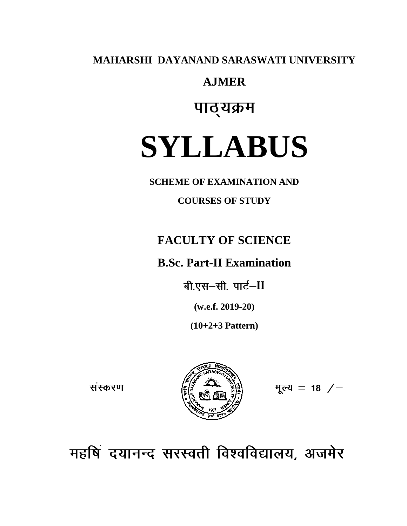**MAHARSHI DAYANAND SARASWATI UNIVERSITY**

## **AJMER**

## पाठ्यक्रम

# **SYLLABUS**

**SCHEME OF EXAMINATION AND** 

**COURSES OF STUDY**

## **FACULTY OF SCIENCE**

## **B.Sc. Part-II Examination**

बी.एस-सी. पार्ट-II

**(w.e.f. 2019-20)**

**(10+2+3 Pattern)**

संस्करण



मूल्य = 18  $/$ 

महषि दयानन्द सरस्वती विश्वविद्यालय, अजमेर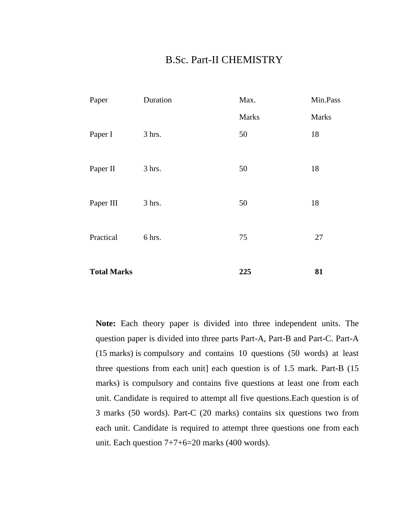### B.Sc. Part-II CHEMISTRY

| Paper              | Duration | Max.  | Min.Pass     |
|--------------------|----------|-------|--------------|
|                    |          | Marks | <b>Marks</b> |
| Paper I            | 3 hrs.   | 50    | 18           |
| Paper II           | 3 hrs.   | 50    | 18           |
| Paper III          | 3 hrs.   | 50    | 18           |
| Practical          | 6 hrs.   | 75    | 27           |
| <b>Total Marks</b> |          | 225   | 81           |

**Note:** Each theory paper is divided into three independent units. The question paper is divided into three parts Part-A, Part-B and Part-C. Part-A (15 marks) is compulsory and contains 10 questions (50 words) at least three questions from each unit] each question is of 1.5 mark. Part-B (15 marks) is compulsory and contains five questions at least one from each unit. Candidate is required to attempt all five questions.Each question is of 3 marks (50 words). Part-C (20 marks) contains six questions two from each unit. Candidate is required to attempt three questions one from each unit. Each question  $7+7+6=20$  marks (400 words).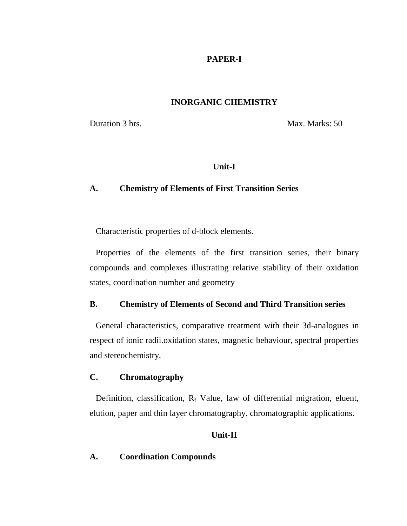#### **PAPER-I**

#### **INORGANIC CHEMISTRY**

Duration 3 hrs. Max. Marks: 50

#### **Unit-I**

#### **A. Chemistry of Elements of First Transition Series**

Characteristic properties of d-block elements.

Properties of the elements of the first transition series, their binary compounds and complexes illustrating relative stability of their oxidation states, coordination number and geometry

#### **B. Chemistry of Elements of Second and Third Transition series**

General characteristics, comparative treatment with their 3d-analogues in respect of ionic radii.oxidation states, magnetic behaviour, spectral properties and stereochemistry.

#### **C. Chromatography**

Definition, classification,  $R_f$  Value, law of differential migration, eluent, elution, paper and thin layer chromatography. chromatographic applications.

#### **Unit-II**

#### **A. Coordination Compounds**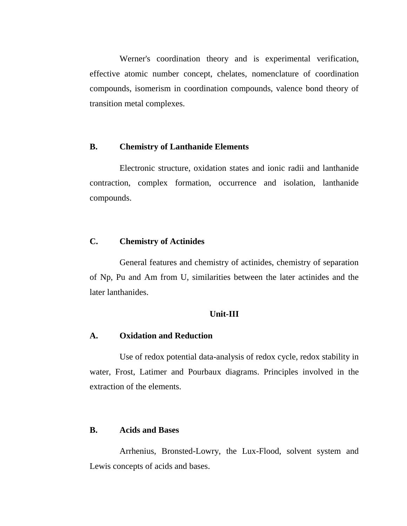Werner's coordination theory and is experimental verification, effective atomic number concept, chelates, nomenclature of coordination compounds, isomerism in coordination compounds, valence bond theory of transition metal complexes.

#### **B. Chemistry of Lanthanide Elements**

Electronic structure, oxidation states and ionic radii and lanthanide contraction, complex formation, occurrence and isolation, lanthanide compounds.

#### **C. Chemistry of Actinides**

General features and chemistry of actinides, chemistry of separation of Np, Pu and Am from U, similarities between the later actinides and the later lanthanides.

#### **Unit-III**

#### **A. Oxidation and Reduction**

Use of redox potential data-analysis of redox cycle, redox stability in water, Frost, Latimer and Pourbaux diagrams. Principles involved in the extraction of the elements.

#### **B. Acids and Bases**

Arrhenius, Bronsted-Lowry, the Lux-Flood, solvent system and Lewis concepts of acids and bases.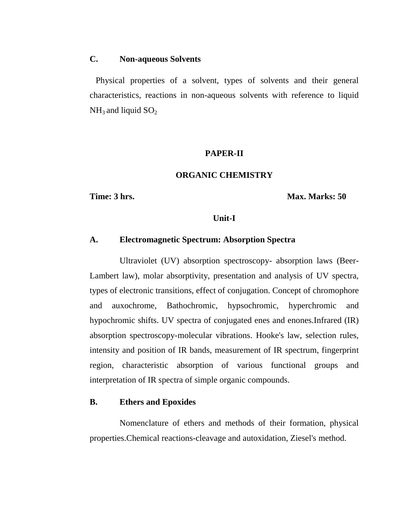#### **C. Non-aqueous Solvents**

Physical properties of a solvent, types of solvents and their general characteristics, reactions in non-aqueous solvents with reference to liquid  $NH<sub>3</sub>$  and liquid  $SO<sub>2</sub>$ 

#### **PAPER-II**

#### **ORGANIC CHEMISTRY**

**Time: 3 hrs. Max. Marks: 50**

#### **Unit-I**

#### **A. Electromagnetic Spectrum: Absorption Spectra**

Ultraviolet (UV) absorption spectroscopy- absorption laws (Beer-Lambert law), molar absorptivity, presentation and analysis of UV spectra, types of electronic transitions, effect of conjugation. Concept of chromophore and auxochrome, Bathochromic, hypsochromic, hyperchromic and hypochromic shifts. UV spectra of conjugated enes and enones.Infrared (IR) absorption spectroscopy-molecular vibrations. Hooke's law, selection rules, intensity and position of IR bands, measurement of IR spectrum, fingerprint region, characteristic absorption of various functional groups and interpretation of IR spectra of simple organic compounds.

#### **B. Ethers and Epoxides**

Nomenclature of ethers and methods of their formation, physical properties.Chemical reactions-cleavage and autoxidation, Ziesel's method.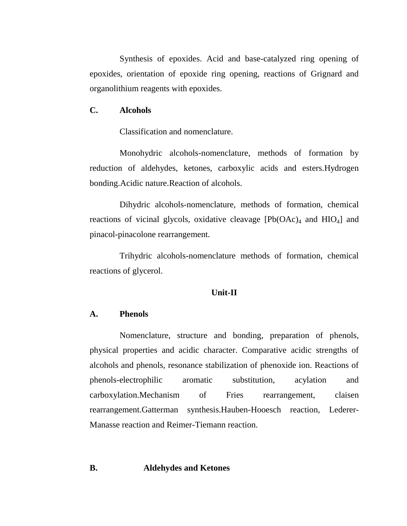Synthesis of epoxides. Acid and base-catalyzed ring opening of epoxides, orientation of epoxide ring opening, reactions of Grignard and organolithium reagents with epoxides.

#### **C. Alcohols**

Classification and nomenclature.

Monohydric alcohols-nomenclature, methods of formation by reduction of aldehydes, ketones, carboxylic acids and esters.Hydrogen bonding.Acidic nature.Reaction of alcohols.

Dihydric alcohols-nomenclature, methods of formation, chemical reactions of vicinal glycols, oxidative cleavage  $[Pb(OAc)<sub>4</sub>$  and  $HIO<sub>4</sub>]$  and pinacol-pinacolone rearrangement.

Trihydric alcohols-nomenclature methods of formation, chemical reactions of glycerol.

#### **Unit-II**

#### **A. Phenols**

Nomenclature, structure and bonding, preparation of phenols, physical properties and acidic character. Comparative acidic strengths of alcohols and phenols, resonance stabilization of phenoxide ion. Reactions of phenols-electrophilic aromatic substitution, acylation and carboxylation.Mechanism of Fries rearrangement, claisen rearrangement.Gatterman synthesis.Hauben-Hooesch reaction, Lederer-Manasse reaction and Reimer-Tiemann reaction.

#### **B. Aldehydes and Ketones**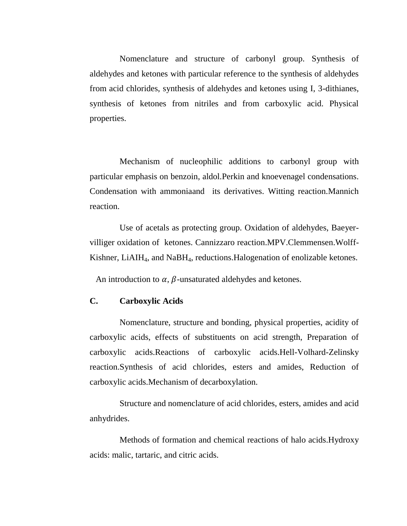Nomenclature and structure of carbonyl group. Synthesis of aldehydes and ketones with particular reference to the synthesis of aldehydes from acid chlorides, synthesis of aldehydes and ketones using I, 3-dithianes, synthesis of ketones from nitriles and from carboxylic acid. Physical properties.

Mechanism of nucleophilic additions to carbonyl group with particular emphasis on benzoin, aldol.Perkin and knoevenagel condensations. Condensation with ammoniaand its derivatives. Witting reaction.Mannich reaction.

Use of acetals as protecting group. Oxidation of aldehydes, Baeyervilliger oxidation of ketones. Cannizzaro reaction.MPV.Clemmensen.Wolff-Kishner, LiAIH<sub>4</sub>, and NaBH<sub>4</sub>, reductions. Halogenation of enolizable ketones.

An introduction to  $\alpha$ ,  $\beta$ -unsaturated aldehydes and ketones.

#### **C. Carboxylic Acids**

Nomenclature, structure and bonding, physical properties, acidity of carboxylic acids, effects of substituents on acid strength, Preparation of carboxylic acids.Reactions of carboxylic acids.Hell-Volhard-Zelinsky reaction.Synthesis of acid chlorides, esters and amides, Reduction of carboxylic acids.Mechanism of decarboxylation.

Structure and nomenclature of acid chlorides, esters, amides and acid anhydrides.

Methods of formation and chemical reactions of halo acids.Hydroxy acids: malic, tartaric, and citric acids.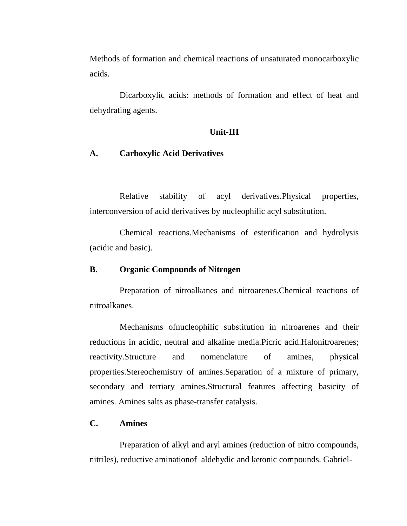Methods of formation and chemical reactions of unsaturated monocarboxylic acids.

Dicarboxylic acids: methods of formation and effect of heat and dehydrating agents.

#### **Unit-III**

#### **A. Carboxylic Acid Derivatives**

Relative stability of acyl derivatives.Physical properties, interconversion of acid derivatives by nucleophilic acyl substitution.

Chemical reactions.Mechanisms of esterification and hydrolysis (acidic and basic).

#### **B. Organic Compounds of Nitrogen**

Preparation of nitroalkanes and nitroarenes.Chemical reactions of nitroalkanes.

Mechanisms ofnucleophilic substitution in nitroarenes and their reductions in acidic, neutral and alkaline media.Picric acid.Halonitroarenes; reactivity.Structure and nomenclature of amines, physical properties.Stereochemistry of amines.Separation of a mixture of primary, secondary and tertiary amines.Structural features affecting basicity of amines. Amines salts as phase-transfer catalysis.

#### **C. Amines**

Preparation of alkyl and aryl amines (reduction of nitro compounds, nitriles), reductive aminationof aldehydic and ketonic compounds. Gabriel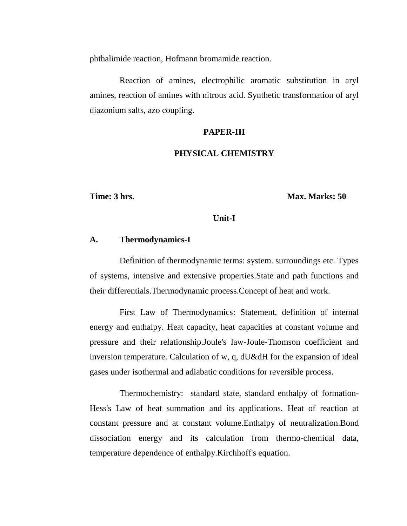phthalimide reaction, Hofmann bromamide reaction.

Reaction of amines, electrophilic aromatic substitution in aryl amines, reaction of amines with nitrous acid. Synthetic transformation of aryl diazonium salts, azo coupling.

#### **PAPER-III**

#### **PHYSICAL CHEMISTRY**

**Time: 3 hrs. Max. Marks: 50** 

#### **Unit-I**

#### **A. Thermodynamics-I**

Definition of thermodynamic terms: system. surroundings etc. Types of systems, intensive and extensive properties.State and path functions and their differentials.Thermodynamic process.Concept of heat and work.

First Law of Thermodynamics: Statement, definition of internal energy and enthalpy. Heat capacity, heat capacities at constant volume and pressure and their relationship.Joule's law-Joule-Thomson coefficient and inversion temperature. Calculation of w, q, dU&dH for the expansion of ideal gases under isothermal and adiabatic conditions for reversible process.

Thermochemistry: standard state, standard enthalpy of formation-Hess's Law of heat summation and its applications. Heat of reaction at constant pressure and at constant volume.Enthalpy of neutralization.Bond dissociation energy and its calculation from thermo-chemical data, temperature dependence of enthalpy.Kirchhoff's equation.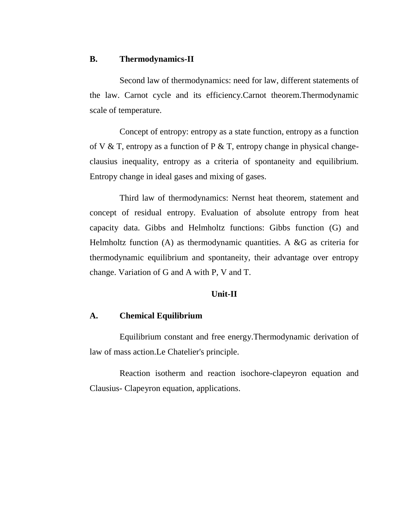#### **B. Thermodynamics-II**

Second law of thermodynamics: need for law, different statements of the law. Carnot cycle and its efficiency.Carnot theorem.Thermodynamic scale of temperature.

Concept of entropy: entropy as a state function, entropy as a function of V & T, entropy as a function of P & T, entropy change in physical changeclausius inequality, entropy as a criteria of spontaneity and equilibrium. Entropy change in ideal gases and mixing of gases.

Third law of thermodynamics: Nernst heat theorem, statement and concept of residual entropy. Evaluation of absolute entropy from heat capacity data. Gibbs and Helmholtz functions: Gibbs function (G) and Helmholtz function (A) as thermodynamic quantities. A &G as criteria for thermodynamic equilibrium and spontaneity, their advantage over entropy change. Variation of G and A with P, V and T.

#### **Unit-II**

#### **A. Chemical Equilibrium**

Equilibrium constant and free energy.Thermodynamic derivation of law of mass action.Le Chatelier's principle.

Reaction isotherm and reaction isochore-clapeyron equation and Clausius- Clapeyron equation, applications.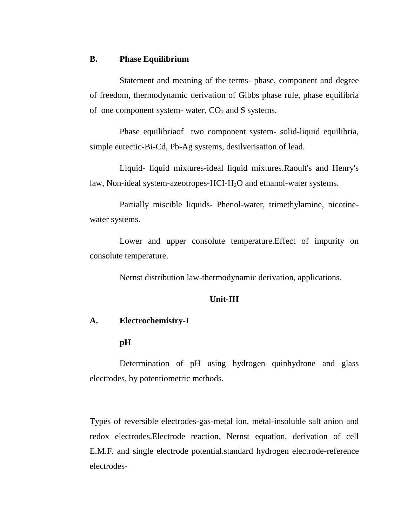#### **B. Phase Equilibrium**

Statement and meaning of the terms- phase, component and degree of freedom, thermodynamic derivation of Gibbs phase rule, phase equilibria of one component system- water,  $CO<sub>2</sub>$  and S systems.

Phase equilibriaof two component system- solid-liquid equilibria, simple eutectic-Bi-Cd, Pb-Ag systems, desilverisation of lead.

Liquid- liquid mixtures-ideal liquid mixtures.Raoult's and Henry's law, Non-ideal system-azeotropes-HCI-H<sub>2</sub>O and ethanol-water systems.

Partially miscible liquids- Phenol-water, trimethylamine, nicotinewater systems.

Lower and upper consolute temperature.Effect of impurity on consolute temperature.

Nernst distribution law-thermodynamic derivation, applications.

#### **Unit-III**

#### **A. Electrochemistry-I**

#### **pH**

Determination of pH using hydrogen quinhydrone and glass electrodes, by potentiometric methods.

Types of reversible electrodes-gas-metal ion, metal-insoluble salt anion and redox electrodes.Electrode reaction, Nernst equation, derivation of cell E.M.F. and single electrode potential.standard hydrogen electrode-reference electrodes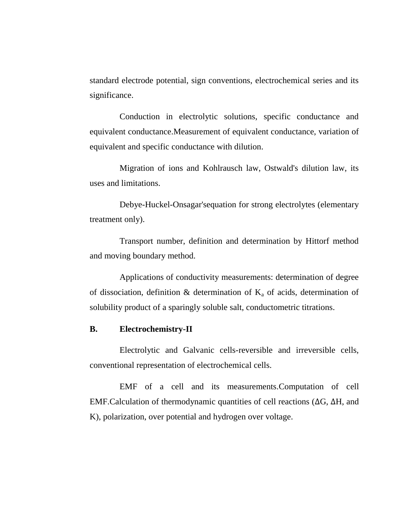standard electrode potential, sign conventions, electrochemical series and its significance.

Conduction in electrolytic solutions, specific conductance and equivalent conductance.Measurement of equivalent conductance, variation of equivalent and specific conductance with dilution.

Migration of ions and Kohlrausch law, Ostwald's dilution law, its uses and limitations.

Debye-Huckel-Onsagar'sequation for strong electrolytes (elementary treatment only).

Transport number, definition and determination by Hittorf method and moving boundary method.

Applications of conductivity measurements: determination of degree of dissociation, definition & determination of  $K_a$  of acids, determination of solubility product of a sparingly soluble salt, conductometric titrations.

#### **B. Electrochemistry-II**

Electrolytic and Galvanic cells-reversible and irreversible cells, conventional representation of electrochemical cells.

EMF of a cell and its measurements.Computation of cell EMF.Calculation of thermodynamic quantities of cell reactions (∆G, ∆H, and K), polarization, over potential and hydrogen over voltage.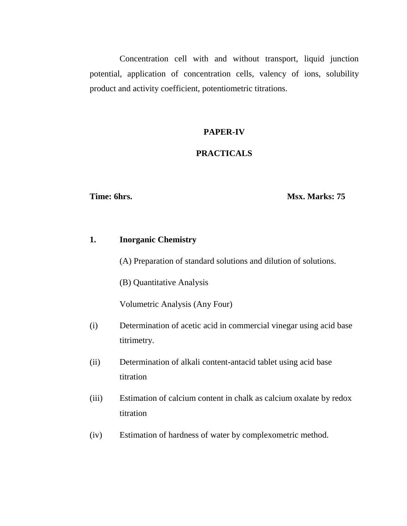Concentration cell with and without transport, liquid junction potential, application of concentration cells, valency of ions, solubility product and activity coefficient, potentiometric titrations.

#### **PAPER-IV**

#### **PRACTICALS**

#### **Time: 6hrs. Msx. Marks: 75**

#### **1. Inorganic Chemistry**

(A) Preparation of standard solutions and dilution of solutions.

(B) Quantitative Analysis

Volumetric Analysis (Any Four)

- (i) Determination of acetic acid in commercial vinegar using acid base titrimetry.
- (ii) Determination of alkali content-antacid tablet using acid base titration
- (iii) Estimation of calcium content in chalk as calcium oxalate by redox titration
- (iv) Estimation of hardness of water by complexometric method.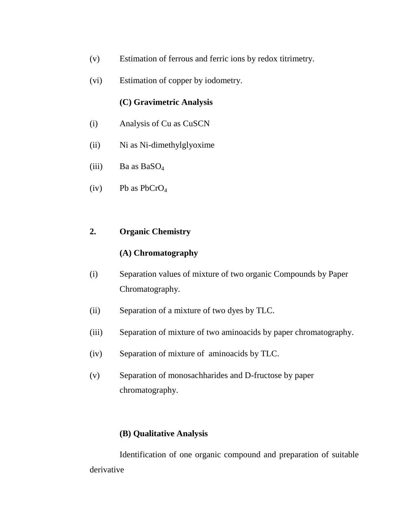- (v) Estimation of ferrous and ferric ions by redox titrimetry.
- (vi) Estimation of copper by iodometry.

#### **(C) Gravimetric Analysis**

- (i) Analysis of Cu as CuSCN
- (ii) Ni as Ni-dimethylglyoxime
- (iii) Ba as  $BaSO<sub>4</sub>$
- (iv) Pb as  $PbCrO<sub>4</sub>$

#### **2. Organic Chemistry**

#### **(A) Chromatography**

- (i) Separation values of mixture of two organic Compounds by Paper Chromatography.
- (ii) Separation of a mixture of two dyes by TLC.
- (iii) Separation of mixture of two aminoacids by paper chromatography.
- (iv) Separation of mixture of aminoacids by TLC.
- (v) Separation of monosachharides and D-fructose by paper chromatography.

#### **(B) Qualitative Analysis**

Identification of one organic compound and preparation of suitable derivative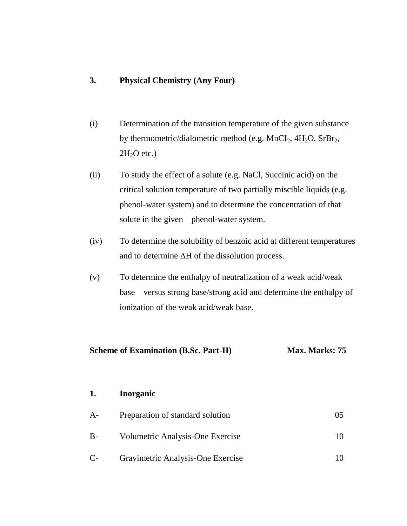#### **3. Physical Chemistry (Any Four)**

- (i) Determination of the transition temperature of the given substance by thermometric/dialometric method (e.g.  $MnCl<sub>2</sub>$ ,  $4H<sub>2</sub>O$ ,  $SrBr<sub>2</sub>$ ,  $2H<sub>2</sub>O$  etc.)
- (ii) To study the effect of a solute (e.g. NaCl, Succinic acid) on the critical solution temperature of two partially miscible liquids (e.g. phenol-water system) and to determine the concentration of that solute in the given phenol-water system.
- (iv) To determine the solubility of benzoic acid at different temperatures and to determine ΔH of the dissolution process.
- (v) To determine the enthalpy of neutralization of a weak acid/weak base versus strong base/strong acid and determine the enthalpy of ionization of the weak acid/weak base.

| <b>Scheme of Examination (B.Sc. Part-II)</b> | Max. Marks: 75 |
|----------------------------------------------|----------------|
|----------------------------------------------|----------------|

#### **1. Inorganic**

| A-   | Preparation of standard solution  |  |
|------|-----------------------------------|--|
| B-   | Volumetric Analysis-One Exercise  |  |
| $C-$ | Gravimetric Analysis-One Exercise |  |